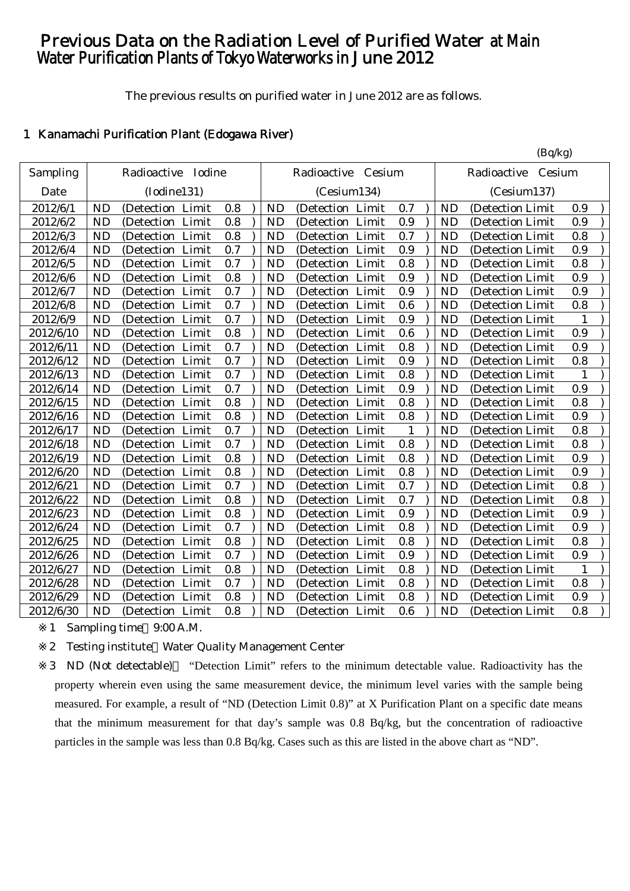# Previous Data on the Radiation Level of Purified Water at Main Water Purification Plants of Tokyo Waterworks in June 2012

The previous results on purified water in June 2012 are as follows.

# 1 Kanamachi Purification Plant (Edogawa River)

|           |           |                    |       |     |           |                       |              |           | (Bq/kg)               |              |               |
|-----------|-----------|--------------------|-------|-----|-----------|-----------------------|--------------|-----------|-----------------------|--------------|---------------|
| Sampling  |           | Radioactive Iodine |       |     |           | Radioactive<br>Cesium |              |           | Radioactive<br>Cesium |              |               |
| Date      |           | (Iodine131)        |       |     |           | (Cesium134)           |              |           | (Cesium137)           |              |               |
| 2012/6/1  | <b>ND</b> | (Detection Limit   |       | 0.8 | <b>ND</b> | (Detection Limit      | 0.7          | <b>ND</b> | (Detection Limit      | 0.9          |               |
| 2012/6/2  | <b>ND</b> | (Detection Limit   |       | 0.8 | <b>ND</b> | (Detection Limit      | 0.9          | <b>ND</b> | (Detection Limit      | 0.9          |               |
| 2012/6/3  | <b>ND</b> | (Detection Limit   |       | 0.8 | <b>ND</b> | (Detection Limit      | 0.7          | <b>ND</b> | (Detection Limit      | 0.8          |               |
| 2012/6/4  | <b>ND</b> | (Detection         | Limit | 0.7 | <b>ND</b> | (Detection<br>Limit   | 0.9          | <b>ND</b> | (Detection Limit      | 0.9          |               |
| 2012/6/5  | <b>ND</b> | (Detection         | Limit | 0.7 | <b>ND</b> | Limit<br>(Detection   | 0.8          | <b>ND</b> | (Detection Limit      | 0.8          |               |
| 2012/6/6  | <b>ND</b> | (Detection Limit   |       | 0.8 | <b>ND</b> | (Detection Limit      | 0.9          | <b>ND</b> | (Detection Limit      | 0.9          |               |
| 2012/6/7  | <b>ND</b> | (Detection)        | Limit | 0.7 | <b>ND</b> | Limit<br>(Detection)  | 0.9          | <b>ND</b> | (Detection Limit)     | 0.9          |               |
| 2012/6/8  | <b>ND</b> | (Detection Limit   |       | 0.7 | <b>ND</b> | (Detection Limit      | 0.6          | <b>ND</b> | (Detection Limit      | 0.8          |               |
| 2012/6/9  | <b>ND</b> | (Detection Limit   |       | 0.7 | <b>ND</b> | (Detection Limit      | 0.9          | <b>ND</b> | (Detection Limit      | $\mathbf{1}$ |               |
| 2012/6/10 | <b>ND</b> | (Detection Limit   |       | 0.8 | <b>ND</b> | (Detection Limit      | 0.6          | <b>ND</b> | (Detection Limit      | 0.9          |               |
| 2012/6/11 | <b>ND</b> | (Detection Limit   |       | 0.7 | <b>ND</b> | (Detection Limit      | 0.8          | <b>ND</b> | (Detection Limit      | 0.9          |               |
| 2012/6/12 | <b>ND</b> | (Detection)        | Limit | 0.7 | <b>ND</b> | Limit<br>(Detection)  | 0.9          | <b>ND</b> | (Detection Limit      | 0.8          |               |
| 2012/6/13 | <b>ND</b> | (Detection         | Limit | 0.7 | <b>ND</b> | Limit<br>(Detection   | 0.8          | <b>ND</b> | (Detection Limit      | 1            |               |
| 2012/6/14 | <b>ND</b> | (Detection         | Limit | 0.7 | <b>ND</b> | Limit<br>(Detection   | 0.9          | <b>ND</b> | (Detection Limit      | 0.9          |               |
| 2012/6/15 | <b>ND</b> | (Detection Limit   |       | 0.8 | <b>ND</b> | (Detection Limit      | 0.8          | <b>ND</b> | (Detection Limit      | 0.8          |               |
| 2012/6/16 | <b>ND</b> | (Detection Limit   |       | 0.8 | <b>ND</b> | (Detection Limit      | 0.8          | <b>ND</b> | (Detection Limit      | 0.9          |               |
| 2012/6/17 | <b>ND</b> | (Detection         | Limit | 0.7 | <b>ND</b> | (Detection Limit      | $\mathbf{1}$ | <b>ND</b> | (Detection Limit      | 0.8          |               |
| 2012/6/18 | <b>ND</b> | (Detection Limit   |       | 0.7 | <b>ND</b> | (Detection Limit      | 0.8          | <b>ND</b> | (Detection Limit      | $0.8\,$      |               |
| 2012/6/19 | <b>ND</b> | (Detection Limit   |       | 0.8 | <b>ND</b> | (Detection Limit      | 0.8          | <b>ND</b> | (Detection Limit      | 0.9          |               |
| 2012/6/20 | <b>ND</b> | (Detection Limit   |       | 0.8 | <b>ND</b> | (Detection Limit      | 0.8          | <b>ND</b> | (Detection Limit      | 0.9          |               |
| 2012/6/21 | <b>ND</b> | (Detection Limit   |       | 0.7 | <b>ND</b> | (Detection Limit      | 0.7          | <b>ND</b> | (Detection Limit      | 0.8          |               |
| 2012/6/22 | <b>ND</b> | (Detection Limit   |       | 0.8 | <b>ND</b> | (Detection Limit      | 0.7          | <b>ND</b> | (Detection Limit      | 0.8          |               |
| 2012/6/23 | <b>ND</b> | (Detection         | Limit | 0.8 | <b>ND</b> | Limit<br>(Detection   | 0.9          | <b>ND</b> | (Detection Limit      | 0.9          |               |
| 2012/6/24 | <b>ND</b> | (Detection Limit   |       | 0.7 | <b>ND</b> | (Detection Limit      | 0.8          | <b>ND</b> | (Detection Limit      | 0.9          |               |
| 2012/6/25 | <b>ND</b> | (Detection Limit   |       | 0.8 | <b>ND</b> | (Detection Limit      | 0.8          | <b>ND</b> | (Detection Limit)     | 0.8          |               |
| 2012/6/26 | <b>ND</b> | (Detection         | Limit | 0.7 | <b>ND</b> | Limit<br>(Detection)  | 0.9          | <b>ND</b> | (Detection Limit      | 0.9          |               |
| 2012/6/27 | <b>ND</b> | (Detection Limit   |       | 0.8 | <b>ND</b> | (Detection Limit      | 0.8          | <b>ND</b> | (Detection Limit      | 1            |               |
| 2012/6/28 | <b>ND</b> | (Detection Limit   |       | 0.7 | <b>ND</b> | (Detection Limit      | 0.8          | <b>ND</b> | (Detection Limit      | 0.8          | $\mathcal{L}$ |
| 2012/6/29 | <b>ND</b> | (Detection Limit   |       | 0.8 | <b>ND</b> | (Detection Limit      | 0.8          | <b>ND</b> | (Detection Limit      | 0.9          |               |
| 2012/6/30 | <b>ND</b> | (Detection Limit   |       | 0.8 | <b>ND</b> | (Detection Limit      | 0.6          | <b>ND</b> | (Detection Limit      | 0.8          |               |

1 Sampling time 9:00 A.M.

2 Testing institute Water Quality Management Center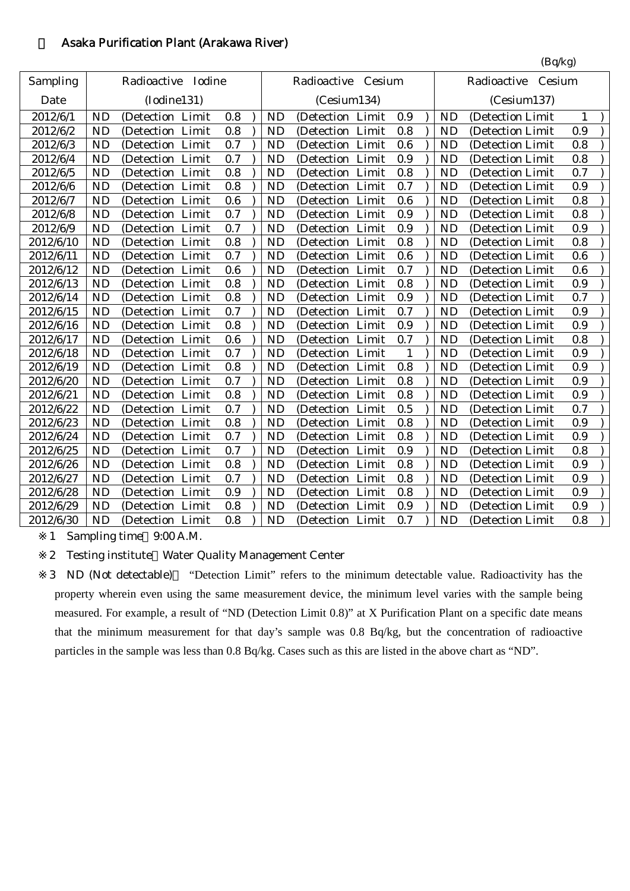### 2 Asaka Purification Plant (Arakawa River)

|           |           |                      |     |           |                    |       |              |           | (Bq/kg)               |     |
|-----------|-----------|----------------------|-----|-----------|--------------------|-------|--------------|-----------|-----------------------|-----|
| Sampling  |           | Radioactive Iodine   |     |           | Radioactive Cesium |       |              |           | Radioactive<br>Cesium |     |
| Date      |           | (Iodine131)          |     |           | (Cesium134)        |       |              |           | (Cesium137)           |     |
| 2012/6/1  | <b>ND</b> | (Detection Limit     | 0.8 | <b>ND</b> | (Detection Limit   |       | 0.9          | <b>ND</b> | (Detection Limit      | 1   |
| 2012/6/2  | <b>ND</b> | (Detection Limit     | 0.8 | <b>ND</b> | (Detection Limit   |       | 0.8          | <b>ND</b> | (Detection Limit      | 0.9 |
| 2012/6/3  | <b>ND</b> | Limit<br>(Detection) | 0.7 | <b>ND</b> | (Detection         | Limit | 0.6          | <b>ND</b> | (Detection Limit      | 0.8 |
| 2012/6/4  | <b>ND</b> | Limit<br>(Detection  | 0.7 | <b>ND</b> | (Detection         | Limit | 0.9          | <b>ND</b> | (Detection Limit      | 0.8 |
| 2012/6/5  | <b>ND</b> | Limit<br>(Detection) | 0.8 | <b>ND</b> | (Detection         | Limit | 0.8          | <b>ND</b> | (Detection Limit      | 0.7 |
| 2012/6/6  | <b>ND</b> | (Detection Limit     | 0.8 | <b>ND</b> | (Detection Limit   |       | 0.7          | <b>ND</b> | (Detection Limit      | 0.9 |
| 2012/6/7  | <b>ND</b> | Limit<br>(Detection  | 0.6 | <b>ND</b> | (Detection         | Limit | 0.6          | <b>ND</b> | (Detection Limit      | 0.8 |
| 2012/6/8  | <b>ND</b> | (Detection Limit     | 0.7 | <b>ND</b> | (Detection Limit   |       | 0.9          | <b>ND</b> | (Detection Limit      | 0.8 |
| 2012/6/9  | <b>ND</b> | Limit<br>(Detection) | 0.7 | <b>ND</b> | (Detection         | Limit | 0.9          | <b>ND</b> | (Detection Limit      | 0.9 |
| 2012/6/10 | <b>ND</b> | Limit<br>(Detection) | 0.8 | <b>ND</b> | (Detection)        | Limit | 0.8          | <b>ND</b> | (Detection Limit      | 0.8 |
| 2012/6/11 | <b>ND</b> | (Detection<br>Limit  | 0.7 | <b>ND</b> | (Detection         | Limit | 0.6          | <b>ND</b> | (Detection Limit      | 0.6 |
| 2012/6/12 | <b>ND</b> | (Detection Limit     | 0.6 | <b>ND</b> | (Detection Limit   |       | 0.7          | <b>ND</b> | (Detection Limit      | 0.6 |
| 2012/6/13 | <b>ND</b> | Limit<br>(Detection  | 0.8 | <b>ND</b> | (Detection Limit   |       | 0.8          | <b>ND</b> | (Detection Limit      | 0.9 |
| 2012/6/14 | <b>ND</b> | (Detection Limit     | 0.8 | <b>ND</b> | (Detection Limit   |       | 0.9          | <b>ND</b> | (Detection Limit      | 0.7 |
| 2012/6/15 | <b>ND</b> | Limit<br>(Detection) | 0.7 | <b>ND</b> | (Detection         | Limit | 0.7          | <b>ND</b> | (Detection Limit      | 0.9 |
| 2012/6/16 | <b>ND</b> | (Detection Limit     | 0.8 | <b>ND</b> | (Detection Limit   |       | 0.9          | <b>ND</b> | (Detection Limit      | 0.9 |
| 2012/6/17 | <b>ND</b> | (Detection Limit     | 0.6 | <b>ND</b> | (Detection Limit   |       | 0.7          | <b>ND</b> | (Detection Limit      | 0.8 |
| 2012/6/18 | <b>ND</b> | (Detection Limit     | 0.7 | <b>ND</b> | (Detection Limit   |       | $\mathbf{1}$ | <b>ND</b> | (Detection Limit      | 0.9 |
| 2012/6/19 | <b>ND</b> | Limit<br>(Detection) | 0.8 | <b>ND</b> | (Detection)        | Limit | 0.8          | <b>ND</b> | (Detection Limit      | 0.9 |
| 2012/6/20 | <b>ND</b> | (Detection Limit     | 0.7 | <b>ND</b> | (Detection Limit   |       | 0.8          | <b>ND</b> | (Detection Limit      | 0.9 |
| 2012/6/21 | <b>ND</b> | (Detection Limit     | 0.8 | <b>ND</b> | (Detection Limit   |       | 0.8          | <b>ND</b> | (Detection Limit      | 0.9 |
| 2012/6/22 | <b>ND</b> | (Detection Limit     | 0.7 | <b>ND</b> | (Detection Limit   |       | 0.5          | <b>ND</b> | (Detection Limit      | 0.7 |
| 2012/6/23 | <b>ND</b> | Limit<br>(Detection  | 0.8 | <b>ND</b> | (Detection         | Limit | 0.8          | <b>ND</b> | (Detection Limit      | 0.9 |
| 2012/6/24 | <b>ND</b> | Limit<br>(Detection) | 0.7 | <b>ND</b> | (Detection)        | Limit | 0.8          | <b>ND</b> | (Detection Limit      | 0.9 |
| 2012/6/25 | <b>ND</b> | (Detection)<br>Limit | 0.7 | <b>ND</b> | (Detection         | Limit | 0.9          | <b>ND</b> | (Detection Limit      | 0.8 |
| 2012/6/26 | <b>ND</b> | Limit<br>(Detection  | 0.8 | <b>ND</b> | (Detection         | Limit | 0.8          | <b>ND</b> | (Detection Limit      | 0.9 |
| 2012/6/27 | <b>ND</b> | Limit<br>(Detection  | 0.7 | <b>ND</b> | (Detection         | Limit | 0.8          | <b>ND</b> | (Detection Limit      | 0.9 |
| 2012/6/28 | <b>ND</b> | Limit<br>(Detection  | 0.9 | <b>ND</b> | (Detection         | Limit | 0.8          | <b>ND</b> | (Detection Limit)     | 0.9 |
| 2012/6/29 | <b>ND</b> | (Detection<br>Limit  | 0.8 | <b>ND</b> | (Detection Limit   |       | 0.9          | <b>ND</b> | (Detection Limit      | 0.9 |
| 2012/6/30 | <b>ND</b> | (Detection Limit     | 0.8 | <b>ND</b> | (Detection Limit   |       | 0.7          | <b>ND</b> | (Detection Limit)     | 0.8 |

1 Sampling time 9:00 A.M.

2 Testing institute Water Quality Management Center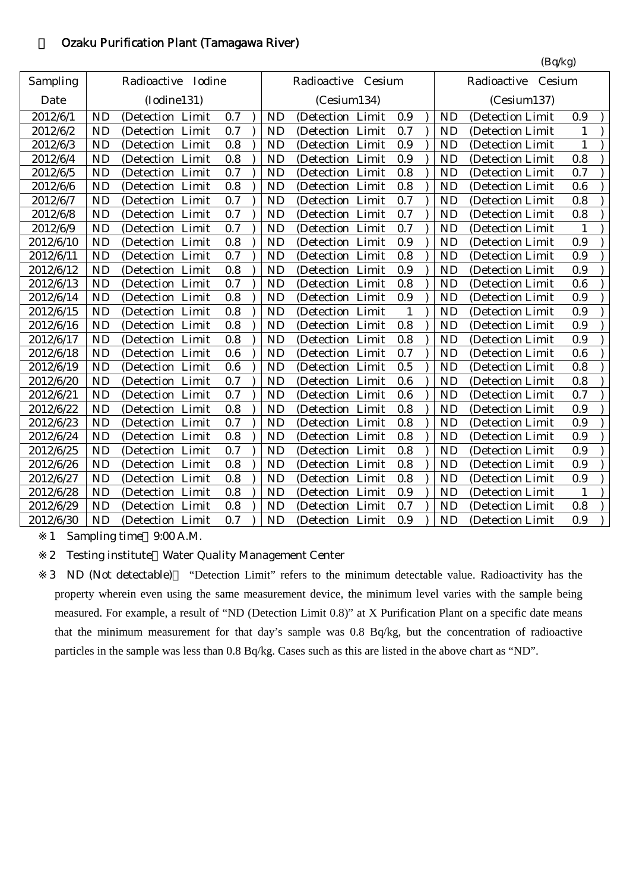## 3 Ozaku Purification Plant (Tamagawa River)

|           |           |                      |     |             |                      |              |  |           | (Bq/kg)               |              |  |
|-----------|-----------|----------------------|-----|-------------|----------------------|--------------|--|-----------|-----------------------|--------------|--|
| Sampling  |           | Radioactive Iodine   |     |             | Radioactive Cesium   |              |  |           | Radioactive<br>Cesium |              |  |
| Date      |           | (Iodine131)          |     | (Cesium134) |                      |              |  |           | (Cesium137)           |              |  |
| 2012/6/1  | <b>ND</b> | (Detection Limit     | 0.7 | <b>ND</b>   | (Detection Limit     | 0.9          |  | <b>ND</b> | (Detection Limit      | 0.9          |  |
| 2012/6/2  | <b>ND</b> | Limit<br>(Detection  | 0.7 | <b>ND</b>   | Limit<br>(Detection  | 0.7          |  | <b>ND</b> | (Detection Limit      | 1            |  |
| 2012/6/3  | <b>ND</b> | Limit<br>(Detection  | 0.8 | <b>ND</b>   | Limit<br>(Detection  | 0.9          |  | <b>ND</b> | (Detection Limit      | 1            |  |
| 2012/6/4  | <b>ND</b> | Limit<br>(Detection  | 0.8 | <b>ND</b>   | Limit<br>(Detection  | 0.9          |  | <b>ND</b> | (Detection Limit      | 0.8          |  |
| 2012/6/5  | <b>ND</b> | (Detection Limit     | 0.7 | <b>ND</b>   | (Detection Limit     | 0.8          |  | <b>ND</b> | (Detection Limit      | 0.7          |  |
| 2012/6/6  | <b>ND</b> | Limit<br>(Detection  | 0.8 | <b>ND</b>   | Limit<br>(Detection  | 0.8          |  | <b>ND</b> | (Detection Limit      | 0.6          |  |
| 2012/6/7  | <b>ND</b> | Limit<br>(Detection) | 0.7 | <b>ND</b>   | Limit<br>(Detection) | 0.7          |  | <b>ND</b> | (Detection Limit      | 0.8          |  |
| 2012/6/8  | <b>ND</b> | Limit<br>(Detection  | 0.7 | <b>ND</b>   | Limit<br>(Detection) | 0.7          |  | <b>ND</b> | (Detection Limit      | 0.8          |  |
| 2012/6/9  | <b>ND</b> | Limit<br>(Detection) | 0.7 | <b>ND</b>   | Limit<br>(Detection  | 0.7          |  | <b>ND</b> | (Detection Limit      | 1            |  |
| 2012/6/10 | <b>ND</b> | (Detection Limit     | 0.8 | <b>ND</b>   | (Detection Limit     | 0.9          |  | <b>ND</b> | (Detection Limit)     | 0.9          |  |
| 2012/6/11 | <b>ND</b> | Limit<br>(Detection  | 0.7 | <b>ND</b>   | Limit<br>(Detection  | 0.8          |  | <b>ND</b> | (Detection Limit      | 0.9          |  |
| 2012/6/12 | <b>ND</b> | Limit<br>(Detection  | 0.8 | <b>ND</b>   | Limit<br>(Detection  | 0.9          |  | <b>ND</b> | (Detection Limit      | 0.9          |  |
| 2012/6/13 | <b>ND</b> | Limit<br>(Detection  | 0.7 | <b>ND</b>   | Limit<br>(Detection  | 0.8          |  | <b>ND</b> | (Detection Limit      | 0.6          |  |
| 2012/6/14 | <b>ND</b> | (Detection)<br>Limit | 0.8 | <b>ND</b>   | (Detection<br>Limit  | 0.9          |  | <b>ND</b> | (Detection Limit      | 0.9          |  |
| 2012/6/15 | <b>ND</b> | (Detection Limit     | 0.8 | <b>ND</b>   | (Detection Limit     | $\mathbf{1}$ |  | <b>ND</b> | (Detection Limit      | 0.9          |  |
| 2012/6/16 | <b>ND</b> | (Detection Limit     | 0.8 | <b>ND</b>   | (Detection Limit     | 0.8          |  | <b>ND</b> | (Detection Limit      | 0.9          |  |
| 2012/6/17 | <b>ND</b> | (Detection Limit     | 0.8 | <b>ND</b>   | (Detection Limit     | 0.8          |  | <b>ND</b> | (Detection Limit      | 0.9          |  |
| 2012/6/18 | <b>ND</b> | (Detection Limit     | 0.6 | <b>ND</b>   | (Detection Limit     | 0.7          |  | <b>ND</b> | (Detection Limit      | 0.6          |  |
| 2012/6/19 | <b>ND</b> | Limit<br>(Detection  | 0.6 | <b>ND</b>   | (Detection<br>Limit  | 0.5          |  | <b>ND</b> | (Detection Limit      | 0.8          |  |
| 2012/6/20 | <b>ND</b> | Limit<br>(Detection) | 0.7 | <b>ND</b>   | Limit<br>(Detection  | 0.6          |  | <b>ND</b> | (Detection Limit      | 0.8          |  |
| 2012/6/21 | <b>ND</b> | Limit<br>(Detection) | 0.7 | <b>ND</b>   | Limit<br>(Detection  | 0.6          |  | <b>ND</b> | (Detection Limit      | 0.7          |  |
| 2012/6/22 | <b>ND</b> | Limit<br>(Detection) | 0.8 | <b>ND</b>   | Limit<br>(Detection  | 0.8          |  | <b>ND</b> | (Detection Limit      | 0.9          |  |
| 2012/6/23 | <b>ND</b> | Limit<br>(Detection  | 0.7 | <b>ND</b>   | Limit<br>(Detection  | 0.8          |  | <b>ND</b> | (Detection Limit      | 0.9          |  |
| 2012/6/24 | <b>ND</b> | Limit<br>(Detection  | 0.8 | <b>ND</b>   | Limit<br>(Detection  | 0.8          |  | <b>ND</b> | (Detection Limit      | 0.9          |  |
| 2012/6/25 | <b>ND</b> | Limit<br>(Detection) | 0.7 | <b>ND</b>   | Limit<br>(Detection  | 0.8          |  | <b>ND</b> | (Detection Limit      | 0.9          |  |
| 2012/6/26 | <b>ND</b> | (Detection Limit     | 0.8 | <b>ND</b>   | (Detection Limit     | 0.8          |  | <b>ND</b> | (Detection Limit      | 0.9          |  |
| 2012/6/27 | <b>ND</b> | (Detection Limit     | 0.8 | <b>ND</b>   | (Detection Limit     | 0.8          |  | <b>ND</b> | (Detection Limit      | 0.9          |  |
| 2012/6/28 | <b>ND</b> | Limit<br>(Detection) | 0.8 | <b>ND</b>   | Limit<br>(Detection  | 0.9          |  | <b>ND</b> | (Detection Limit      | $\mathbf{1}$ |  |
| 2012/6/29 | <b>ND</b> | Limit<br>(Detection  | 0.8 | <b>ND</b>   | Limit<br>(Detection  | 0.7          |  | <b>ND</b> | (Detection Limit      | 0.8          |  |
| 2012/6/30 | <b>ND</b> | (Detection Limit     | 0.7 | <b>ND</b>   | (Detection Limit     | 0.9          |  | <b>ND</b> | (Detection Limit      | 0.9          |  |

1 Sampling time 9:00 A.M.

2 Testing institute Water Quality Management Center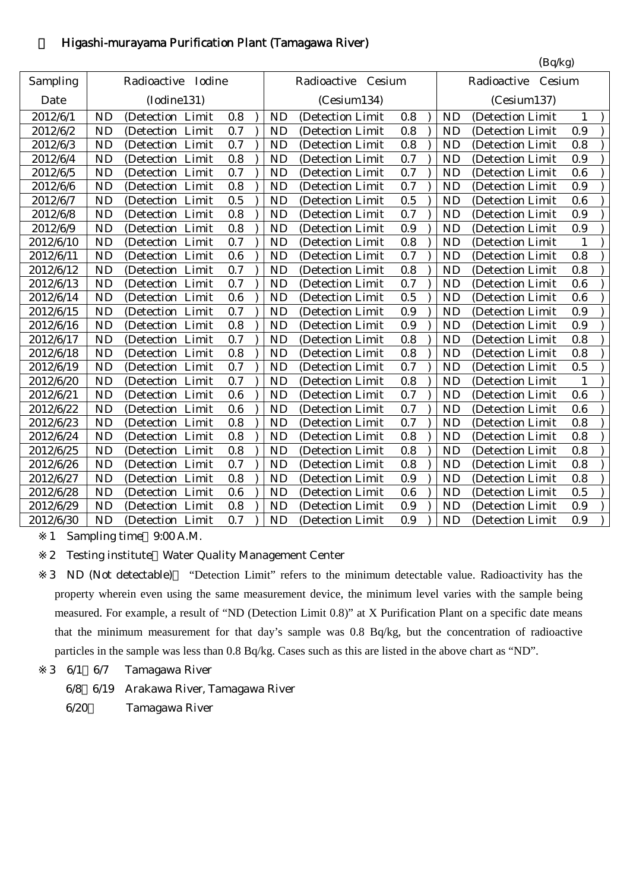# 4 Higashi-murayama Purification Plant (Tamagawa River)

|           |           |                      |         |           |                    |     |           | (Bq/kg)               |              |  |
|-----------|-----------|----------------------|---------|-----------|--------------------|-----|-----------|-----------------------|--------------|--|
| Sampling  |           | Radioactive Iodine   |         |           | Radioactive Cesium |     |           | Radioactive<br>Cesium |              |  |
| Date      |           | (Iodine131)          |         |           | (Cesium134)        |     |           | (Cesium137)           |              |  |
| 2012/6/1  | <b>ND</b> | (Detection Limit     | 0.8     | <b>ND</b> | (Detection Limit   | 0.8 | <b>ND</b> | (Detection Limit      | 1            |  |
| 2012/6/2  | <b>ND</b> | Limit<br>(Detection  | 0.7     | <b>ND</b> | (Detection Limit   | 0.8 | <b>ND</b> | (Detection Limit      | 0.9          |  |
| 2012/6/3  | <b>ND</b> | (Detection Limit     | 0.7     | <b>ND</b> | (Detection Limit   | 0.8 | <b>ND</b> | (Detection Limit      | 0.8          |  |
| 2012/6/4  | <b>ND</b> | (Detection<br>Limit  | 0.8     | <b>ND</b> | (Detection Limit   | 0.7 | <b>ND</b> | (Detection Limit      | 0.9          |  |
| 2012/6/5  | <b>ND</b> | (Detection Limit     | 0.7     | <b>ND</b> | (Detection Limit   | 0.7 | <b>ND</b> | (Detection Limit      | 0.6          |  |
| 2012/6/6  | <b>ND</b> | (Detection Limit     | 0.8     | <b>ND</b> | (Detection Limit   | 0.7 | <b>ND</b> | (Detection Limit      | 0.9          |  |
| 2012/6/7  | <b>ND</b> | (Detection Limit     | 0.5     | <b>ND</b> | (Detection Limit   | 0.5 | <b>ND</b> | (Detection Limit      | 0.6          |  |
| 2012/6/8  | <b>ND</b> | Limit<br>(Detection  | 0.8     | <b>ND</b> | (Detection Limit   | 0.7 | <b>ND</b> | (Detection Limit      | 0.9          |  |
| 2012/6/9  | <b>ND</b> | Limit<br>(Detection  | 0.8     | <b>ND</b> | (Detection Limit   | 0.9 | <b>ND</b> | (Detection Limit      | 0.9          |  |
| 2012/6/10 | <b>ND</b> | Limit<br>(Detection  | 0.7     | <b>ND</b> | (Detection Limit   | 0.8 | <b>ND</b> | (Detection Limit      | 1            |  |
| 2012/6/11 | <b>ND</b> | (Detection Limit     | $0.6\,$ | <b>ND</b> | (Detection Limit   | 0.7 | <b>ND</b> | (Detection Limit      | 0.8          |  |
| 2012/6/12 | <b>ND</b> | Limit<br>(Detection) | 0.7     | <b>ND</b> | (Detection Limit   | 0.8 | <b>ND</b> | (Detection Limit      | 0.8          |  |
| 2012/6/13 | <b>ND</b> | Limit<br>(Detection  | 0.7     | <b>ND</b> | (Detection Limit   | 0.7 | <b>ND</b> | (Detection Limit      | 0.6          |  |
| 2012/6/14 | <b>ND</b> | (Detection<br>Limit  | 0.6     | <b>ND</b> | (Detection Limit   | 0.5 | <b>ND</b> | (Detection Limit      | 0.6          |  |
| 2012/6/15 | <b>ND</b> | Limit<br>(Detection  | 0.7     | <b>ND</b> | (Detection Limit   | 0.9 | <b>ND</b> | (Detection Limit      | 0.9          |  |
| 2012/6/16 | <b>ND</b> | (Detection Limit     | 0.8     | <b>ND</b> | (Detection Limit   | 0.9 | <b>ND</b> | (Detection Limit      | 0.9          |  |
| 2012/6/17 | <b>ND</b> | (Detection Limit     | 0.7     | <b>ND</b> | (Detection Limit   | 0.8 | <b>ND</b> | (Detection Limit      | 0.8          |  |
| 2012/6/18 | <b>ND</b> | (Detection Limit     | 0.8     | <b>ND</b> | (Detection Limit   | 0.8 | <b>ND</b> | (Detection Limit      | 0.8          |  |
| 2012/6/19 | <b>ND</b> | (Detection<br>Limit  | 0.7     | <b>ND</b> | (Detection Limit   | 0.7 | <b>ND</b> | (Detection Limit      | 0.5          |  |
| 2012/6/20 | <b>ND</b> | Limit<br>(Detection  | 0.7     | <b>ND</b> | (Detection Limit   | 0.8 | <b>ND</b> | (Detection Limit      | $\mathbf{1}$ |  |
| 2012/6/21 | <b>ND</b> | (Detection Limit     | 0.6     | <b>ND</b> | (Detection Limit   | 0.7 | <b>ND</b> | (Detection Limit      | 0.6          |  |
| 2012/6/22 | <b>ND</b> | (Detection Limit     | 0.6     | <b>ND</b> | (Detection Limit   | 0.7 | <b>ND</b> | (Detection Limit      | 0.6          |  |
| 2012/6/23 | <b>ND</b> | Limit<br>(Detection  | 0.8     | <b>ND</b> | (Detection Limit   | 0.7 | <b>ND</b> | (Detection Limit      | 0.8          |  |
| 2012/6/24 | <b>ND</b> | (Detection<br>Limit  | 0.8     | <b>ND</b> | (Detection Limit   | 0.8 | <b>ND</b> | (Detection Limit      | 0.8          |  |
| 2012/6/25 | <b>ND</b> | Limit<br>(Detection  | 0.8     | <b>ND</b> | (Detection Limit   | 0.8 | <b>ND</b> | (Detection Limit      | 0.8          |  |
| 2012/6/26 | <b>ND</b> | (Detection Limit     | 0.7     | <b>ND</b> | (Detection Limit   | 0.8 | <b>ND</b> | (Detection Limit      | 0.8          |  |
| 2012/6/27 | <b>ND</b> | (Detection Limit     | 0.8     | <b>ND</b> | (Detection Limit   | 0.9 | <b>ND</b> | (Detection Limit      | 0.8          |  |
| 2012/6/28 | <b>ND</b> | Limit<br>(Detection  | $0.6\,$ | <b>ND</b> | (Detection Limit   | 0.6 | <b>ND</b> | (Detection Limit      | 0.5          |  |
| 2012/6/29 | <b>ND</b> | (Detection<br>Limit  | $0.8\,$ | <b>ND</b> | (Detection Limit   | 0.9 | <b>ND</b> | (Detection Limit      | 0.9          |  |
| 2012/6/30 | <b>ND</b> | (Detection Limit     | 0.7     | <b>ND</b> | (Detection Limit)  | 0.9 | <b>ND</b> | (Detection Limit      | 0.9          |  |

1 Sampling time 9:00 A.M.

2 Testing institute Water Quality Management Center

- 3 6/1 6/7 Tamagawa River
	- 6/8 6/19 Arakawa River, Tamagawa River
	- 6/20 Tamagawa River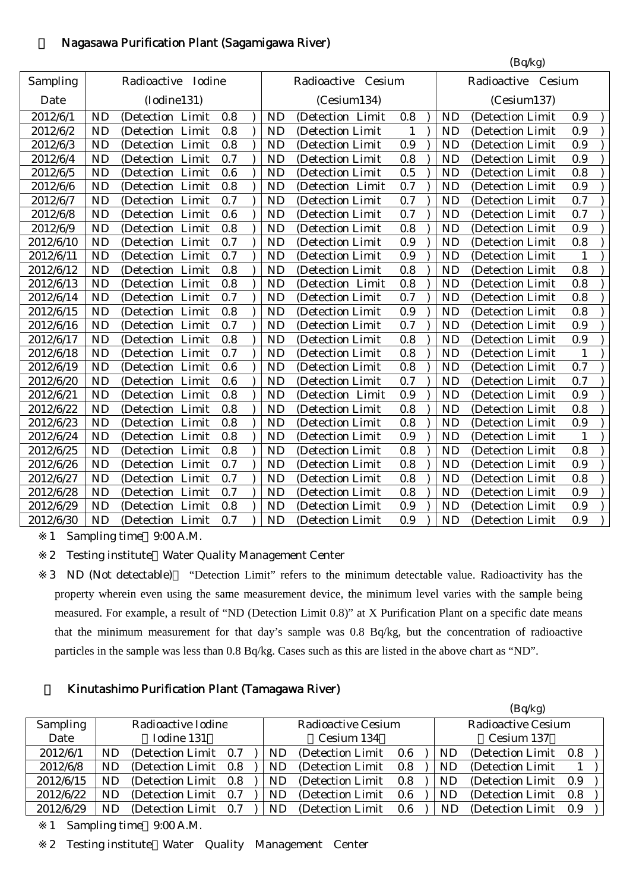# 5 Nagasawa Purification Plant (Sagamigawa River)

|           |           |                    |       |     |           |                    |     |                    |           | (Bq/kg)          |              |  |
|-----------|-----------|--------------------|-------|-----|-----------|--------------------|-----|--------------------|-----------|------------------|--------------|--|
| Sampling  |           | Radioactive Iodine |       |     |           | Radioactive Cesium |     | Radioactive Cesium |           |                  |              |  |
| Date      |           | (Iodine131)        |       |     |           | (Cesium134)        |     |                    |           | (Cesium137)      |              |  |
| 2012/6/1  | <b>ND</b> | (Detection Limit   |       | 0.8 | <b>ND</b> | (Detection Limit   | 0.8 |                    | <b>ND</b> | (Detection Limit | 0.9          |  |
| 2012/6/2  | <b>ND</b> | (Detection Limit   |       | 0.8 | <b>ND</b> | (Detection Limit   | 1   |                    | <b>ND</b> | (Detection Limit | 0.9          |  |
| 2012/6/3  | <b>ND</b> | (Detection Limit   |       | 0.8 | <b>ND</b> | (Detection Limit   | 0.9 |                    | <b>ND</b> | (Detection Limit | 0.9          |  |
| 2012/6/4  | <b>ND</b> | (Detection         | Limit | 0.7 | <b>ND</b> | (Detection Limit   | 0.8 |                    | <b>ND</b> | (Detection Limit | 0.9          |  |
| 2012/6/5  | <b>ND</b> | (Detection         | Limit | 0.6 | <b>ND</b> | (Detection Limit   | 0.5 |                    | <b>ND</b> | (Detection Limit | 0.8          |  |
| 2012/6/6  | <b>ND</b> | (Detection Limit   |       | 0.8 | <b>ND</b> | (Detection Limit   | 0.7 |                    | <b>ND</b> | (Detection Limit | 0.9          |  |
| 2012/6/7  | <b>ND</b> | (Detection Limit   |       | 0.7 | <b>ND</b> | (Detection Limit   | 0.7 |                    | <b>ND</b> | (Detection Limit | 0.7          |  |
| 2012/6/8  | <b>ND</b> | (Detection Limit   |       | 0.6 | <b>ND</b> | (Detection Limit   | 0.7 |                    | <b>ND</b> | (Detection Limit | 0.7          |  |
| 2012/6/9  | <b>ND</b> | (Detection         | Limit | 0.8 | <b>ND</b> | (Detection Limit   | 0.8 |                    | <b>ND</b> | (Detection Limit | 0.9          |  |
| 2012/6/10 | <b>ND</b> | (Detection)        | Limit | 0.7 | <b>ND</b> | (Detection Limit   | 0.9 |                    | <b>ND</b> | (Detection Limit | 0.8          |  |
| 2012/6/11 | <b>ND</b> | (Detection)        | Limit | 0.7 | <b>ND</b> | (Detection Limit   | 0.9 |                    | <b>ND</b> | (Detection Limit | 1            |  |
| 2012/6/12 | <b>ND</b> | (Detection Limit   |       | 0.8 | <b>ND</b> | (Detection Limit   | 0.8 |                    | <b>ND</b> | (Detection Limit | 0.8          |  |
| 2012/6/13 | <b>ND</b> | (Detection)        | Limit | 0.8 | <b>ND</b> | (Detection Limit   | 0.8 |                    | <b>ND</b> | (Detection Limit | 0.8          |  |
| 2012/6/14 | <b>ND</b> | (Detection         | Limit | 0.7 | <b>ND</b> | (Detection Limit   | 0.7 |                    | <b>ND</b> | (Detection Limit | 0.8          |  |
| 2012/6/15 | <b>ND</b> | (Detection)        | Limit | 0.8 | <b>ND</b> | (Detection Limit   | 0.9 |                    | <b>ND</b> | (Detection Limit | 0.8          |  |
| 2012/6/16 | <b>ND</b> | (Detection Limit   |       | 0.7 | <b>ND</b> | (Detection Limit   | 0.7 |                    | <b>ND</b> | (Detection Limit | 0.9          |  |
| 2012/6/17 | <b>ND</b> | (Detection Limit   |       | 0.8 | <b>ND</b> | (Detection Limit   | 0.8 |                    | <b>ND</b> | (Detection Limit | 0.9          |  |
| 2012/6/18 | <b>ND</b> | (Detection         | Limit | 0.7 | <b>ND</b> | (Detection Limit   | 0.8 |                    | <b>ND</b> | (Detection Limit | $\mathbf{1}$ |  |
| 2012/6/19 | <b>ND</b> | (Detection)        | Limit | 0.6 | <b>ND</b> | (Detection Limit   | 0.8 |                    | <b>ND</b> | (Detection Limit | 0.7          |  |
| 2012/6/20 | <b>ND</b> | (Detection)        | Limit | 0.6 | <b>ND</b> | (Detection Limit   | 0.7 |                    | <b>ND</b> | (Detection Limit | 0.7          |  |
| 2012/6/21 | <b>ND</b> | (Detection Limit   |       | 0.8 | <b>ND</b> | (Detection Limit   | 0.9 |                    | <b>ND</b> | (Detection Limit | 0.9          |  |
| 2012/6/22 | <b>ND</b> | (Detection)        | Limit | 0.8 | <b>ND</b> | (Detection Limit   | 0.8 |                    | <b>ND</b> | (Detection Limit | 0.8          |  |
| 2012/6/23 | <b>ND</b> | (Detection         | Limit | 0.8 | <b>ND</b> | (Detection Limit   | 0.8 |                    | <b>ND</b> | (Detection Limit | 0.9          |  |
| 2012/6/24 | <b>ND</b> | (Detection         | Limit | 0.8 | <b>ND</b> | (Detection Limit   | 0.9 |                    | <b>ND</b> | (Detection Limit | 1            |  |
| 2012/6/25 | <b>ND</b> | (Detection)        | Limit | 0.8 | <b>ND</b> | (Detection Limit   | 0.8 |                    | <b>ND</b> | (Detection Limit | 0.8          |  |
| 2012/6/26 | <b>ND</b> | (Detection Limit   |       | 0.7 | <b>ND</b> | (Detection Limit   | 0.8 |                    | <b>ND</b> | (Detection Limit | 0.9          |  |
| 2012/6/27 | <b>ND</b> | (Detection Limit   |       | 0.7 | <b>ND</b> | (Detection Limit   | 0.8 |                    | <b>ND</b> | (Detection Limit | 0.8          |  |
| 2012/6/28 | <b>ND</b> | (Detection)        | Limit | 0.7 | <b>ND</b> | (Detection Limit   | 0.8 |                    | <b>ND</b> | (Detection Limit | 0.9          |  |
| 2012/6/29 | <b>ND</b> | (Detection)        | Limit | 0.8 | <b>ND</b> | (Detection Limit   | 0.9 |                    | <b>ND</b> | (Detection Limit | 0.9          |  |
| 2012/6/30 | <b>ND</b> | (Detection Limit   |       | 0.7 | <b>ND</b> | (Detection Limit   | 0.9 |                    | <b>ND</b> | (Detection Limit | 0.9          |  |

1 Sampling time 9:00 A.M.

2 Testing institute Water Quality Management Center

3 ND (Not detectable) "Detection Limit" refers to the minimum detectable value. Radioactivity has the property wherein even using the same measurement device, the minimum level varies with the sample being measured. For example, a result of "ND (Detection Limit 0.8)" at X Purification Plant on a specific date means that the minimum measurement for that day's sample was 0.8 Bq/kg, but the concentration of radioactive particles in the sample was less than 0.8 Bq/kg. Cases such as this are listed in the above chart as "ND".

# 6 Kinutashimo Purification Plant (Tamagawa River)

|                 |           |                       |  |  |     |                           |            |  |           | (Bq/kg)                   |     |  |
|-----------------|-----------|-----------------------|--|--|-----|---------------------------|------------|--|-----------|---------------------------|-----|--|
| <b>Sampling</b> |           | Radioactive Iodine    |  |  |     | <b>Radioactive Cesium</b> |            |  |           | <b>Radioactive Cesium</b> |     |  |
| Date            |           | Iodine 131            |  |  |     | Cesium 134                | Cesium 137 |  |           |                           |     |  |
| 2012/6/1        | <b>ND</b> | (Detection Limit 0.7) |  |  | ND. | (Detection Limit)         | 0.6        |  | ND        | (Detection Limit 0.8)     |     |  |
| 2012/6/8        | ND        | (Detection Limit 0.8) |  |  | ND. | (Detection Limit)         | 0.8        |  | ND        | (Detection Limit)         |     |  |
| 2012/6/15       | ND        | (Detection Limit 0.8) |  |  | ND  | (Detection Limit)         | 0.8        |  | ND        | (Detection Limit 0.9)     |     |  |
| 2012/6/22       | <b>ND</b> | (Detection Limit 0.7) |  |  | ND. | (Detection Limit)         | 0.6        |  | <b>ND</b> | (Detection Limit)         | 0.8 |  |
| 2012/6/29       | ND        | (Detection Limit 0.7) |  |  | ND. | (Detection Limit)         | 0.6        |  | ND        | (Detection Limit)         | 0.9 |  |

1 Sampling time 9:00 A.M.

2 Testing institute Water Quality Management Center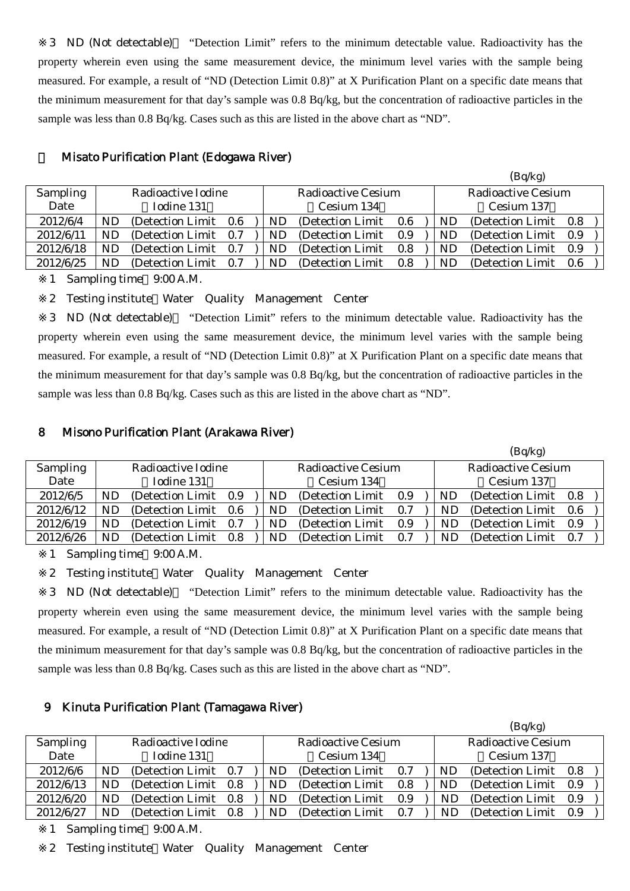3 ND (Not detectable) "Detection Limit" refers to the minimum detectable value. Radioactivity has the property wherein even using the same measurement device, the minimum level varies with the sample being measured. For example, a result of "ND (Detection Limit 0.8)" at X Purification Plant on a specific date means that the minimum measurement for that day's sample was 0.8 Bq/kg, but the concentration of radioactive particles in the sample was less than 0.8 Bq/kg. Cases such as this are listed in the above chart as "ND".

|           |            |                       |     |  |            |                           |     |  |            | $(\mathbf{D}\mathbf{q},\mathbf{n}\mathbf{s})$ |       |  |  |
|-----------|------------|-----------------------|-----|--|------------|---------------------------|-----|--|------------|-----------------------------------------------|-------|--|--|
| Sampling  |            | Radioactive Iodine    |     |  |            | <b>Radioactive Cesium</b> |     |  |            | <b>Radioactive Cesium</b>                     |       |  |  |
| Date      | Iodine 131 |                       |     |  | Cesium 134 |                           |     |  | Cesium 137 |                                               |       |  |  |
| 2012/6/4  | ND         | (Detection Limit 0.6) |     |  | ND         | (Detection Limit)         | 0.6 |  | ND         | (Detection Limit)                             | - 0.8 |  |  |
| 2012/6/11 | ND         | (Detection Limit)     | 0.7 |  | ND         | (Detection Limit)         | 0.9 |  | ND         | (Detection Limit)                             | 0.9   |  |  |
| 2012/6/18 | ND         | (Detection Limit)     | 0.7 |  | ND         | (Detection Limit)         | 0.8 |  | ND         | (Detection Limit)                             | 0.9   |  |  |
| 2012/6/25 | ND         | (Detection Limit)     | 0.7 |  | ND         | (Detection Limit)         | 0.8 |  | ND         | (Detection Limit)                             | 0.6   |  |  |
|           |            |                       |     |  |            |                           |     |  |            |                                               |       |  |  |

 $(R_0/k_0)$ 

#### 7 Misato Purification Plant (Edogawa River)

1 Sampling time 9:00 A.M.

2 Testing institute Water Quality Management Center

3 ND (Not detectable) "Detection Limit" refers to the minimum detectable value. Radioactivity has the property wherein even using the same measurement device, the minimum level varies with the sample being measured. For example, a result of "ND (Detection Limit 0.8)" at X Purification Plant on a specific date means that the minimum measurement for that day's sample was 0.8 Bq/kg, but the concentration of radioactive particles in the sample was less than 0.8 Bq/kg. Cases such as this are listed in the above chart as "ND".

#### 8 Misono Purification Plant (Arakawa River)

|           |           |                       |     |     |                           |     |                           | (Bq/kg)               |     |  |
|-----------|-----------|-----------------------|-----|-----|---------------------------|-----|---------------------------|-----------------------|-----|--|
| Sampling  |           | Radioactive Iodine    |     |     | <b>Radioactive Cesium</b> |     | <b>Radioactive Cesium</b> |                       |     |  |
| Date      |           | Iodine 131            |     |     | Cesium 134                |     | Cesium 137                |                       |     |  |
| 2012/6/5  | <b>ND</b> | (Detection Limit 0.9) |     | ND. | (Detection Limit)         | 0.9 | ND                        | (Detection Limit 0.8) |     |  |
| 2012/6/12 | ND        | (Detection Limit 0.6) |     | ND  | (Detection Limit)         | 0.7 | ND                        | (Detection Limit 0.6) |     |  |
| 2012/6/19 | ND        | (Detection Limit 0.7) |     | ND. | (Detection Limit)         | 0.9 | ND                        | (Detection Limit 0.9) |     |  |
| 2012/6/26 | ND        | (Detection Limit)     | 0.8 | ND. | (Detection Limit)         | 0.7 | ND                        | (Detection Limit)     | 0.7 |  |

1 Sampling time 9:00 A.M.

2 Testing institute Water Quality Management Center

3 ND (Not detectable) "Detection Limit" refers to the minimum detectable value. Radioactivity has the property wherein even using the same measurement device, the minimum level varies with the sample being measured. For example, a result of "ND (Detection Limit 0.8)" at X Purification Plant on a specific date means that the minimum measurement for that day's sample was 0.8 Bq/kg, but the concentration of radioactive particles in the sample was less than 0.8 Bq/kg. Cases such as this are listed in the above chart as "ND".

### 9 Kinuta Purification Plant (Tamagawa River)

|                 |    |                       |    |                    |     |                           | (Bq/kg)           |     |  |
|-----------------|----|-----------------------|----|--------------------|-----|---------------------------|-------------------|-----|--|
| <b>Sampling</b> |    | Radioactive Iodine    |    | Radioactive Cesium |     | <b>Radioactive Cesium</b> |                   |     |  |
| Date            |    | Iodine 131            |    | Cesium 134         |     | Cesium 137                |                   |     |  |
| 2012/6/6        | ND | (Detection Limit 0.7) | ND | (Detection Limit)  | 0.7 | <b>ND</b>                 | (Detection Limit) | 0.8 |  |
| 2012/6/13       | ND | (Detection Limit 0.8) | ND | (Detection Limit)  | 0.8 | ND.                       | (Detection Limit) | 0.9 |  |
| 2012/6/20       | ND | (Detection Limit 0.8) | ND | (Detection Limit)  | 0.9 | ND                        | (Detection Limit) | 0.9 |  |
| 2012/6/27       | ND | (Detection Limit 0.8) | ND | (Detection Limit)  | 0.7 | ND                        | (Detection Limit) | 0.9 |  |

1 Sampling time 9:00 A.M.

2 Testing institute Water Quality Management Center